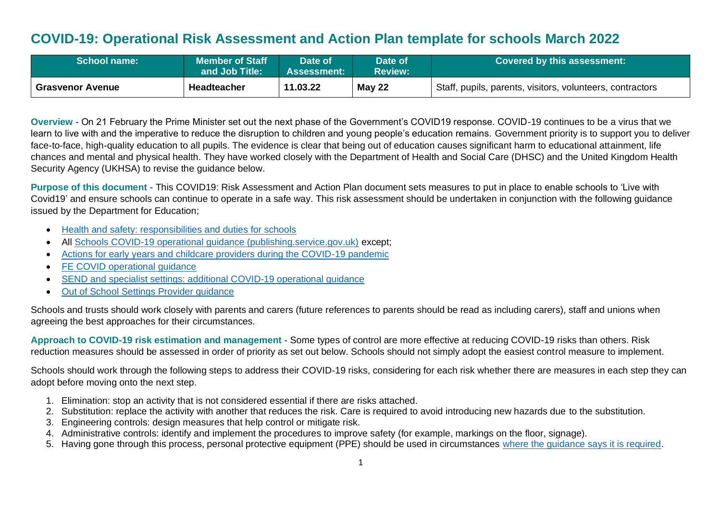# **COVID-19: Operational Risk Assessment and Action Plan template for schools March 2022**

| <b>School name:</b>     | <b>Member of Staff</b><br>and Job Title: | Date of<br><b>Assessment:</b> | Date of<br><b>Review:</b> | Covered by this assessment:                               |
|-------------------------|------------------------------------------|-------------------------------|---------------------------|-----------------------------------------------------------|
| <b>Grasvenor Avenue</b> | Headteacher                              | 11.03.22                      | <b>May 22</b>             | Staff, pupils, parents, visitors, volunteers, contractors |

**Overview -** On 21 February the Prime Minister set out the next phase of the Government's COVID19 response. COVID-19 continues to be a virus that we learn to live with and the imperative to reduce the disruption to children and young people's education remains. Government priority is to support you to deliver face-to-face, high-quality education to all pupils. The evidence is clear that being out of education causes significant harm to educational attainment, life chances and mental and physical health. They have worked closely with the Department of Health and Social Care (DHSC) and the United Kingdom Health Security Agency (UKHSA) to revise the guidance below.

**Purpose of this document -** This COVID19: Risk Assessment and Action Plan document sets measures to put in place to enable schools to 'Live with Covid19' and ensure schools can continue to operate in a safe way. This risk assessment should be undertaken in conjunction with the following guidance issued by the Department for Education;

- [Health and safety: responsibilities and duties for schools](https://www.gov.uk/government/publications/health-and-safety-advice-for-schools/responsibilities-and-duties-for-schools)
- All [Schools COVID-19 operational guidance \(publishing.service.gov.uk\)](https://assets.publishing.service.gov.uk/government/uploads/system/uploads/attachment_data/file/1057106/220224_Schools_guidance.pdf) except;
- [Actions for early years and childcare providers during the COVID-19 pandemic](https://assets.publishing.service.gov.uk/government/uploads/system/uploads/attachment_data/file/1056993/20220223_EY_guidance.pdf)
- **[FE COVID operational guidance](https://assets.publishing.service.gov.uk/government/uploads/system/uploads/attachment_data/file/1056992/FE_COVID_operational_guidance_Feb_2022.pdf)**
- [SEND and specialist settings: additional COVID-19 operational guidance](https://assets.publishing.service.gov.uk/government/uploads/system/uploads/attachment_data/file/1057037/20220223_SEND_guidance.pdf)
- [Out of School Settings Provider guidance](https://assets.publishing.service.gov.uk/government/uploads/system/uploads/attachment_data/file/1057004/OOSS_Provider_guidance.pdf)

Schools and trusts should work closely with parents and carers (future references to parents should be read as including carers), staff and unions when agreeing the best approaches for their circumstances.

**Approach to COVID-19 risk estimation and management -** Some types of control are more effective at reducing COVID-19 risks than others. Risk reduction measures should be assessed in order of priority as set out below. Schools should not simply adopt the easiest control measure to implement.

Schools should work through the following steps to address their COVID-19 risks, considering for each risk whether there are measures in each step they can adopt before moving onto the next step.

- 1. Elimination: stop an activity that is not considered essential if there are risks attached.
- 2. Substitution: replace the activity with another that reduces the risk. Care is required to avoid introducing new hazards due to the substitution.
- 3. Engineering controls: design measures that help control or mitigate risk.
- 4. Administrative controls: identify and implement the procedures to improve safety (for example, markings on the floor, signage).
- 5. Having gone through this process, personal protective equipment (PPE) should be used in circumstances [where the guidance says it is required.](https://assets.publishing.service.gov.uk/government/uploads/system/uploads/attachment_data/file/999689/Schools_guidance_Step_4_update_FINAL.pdf)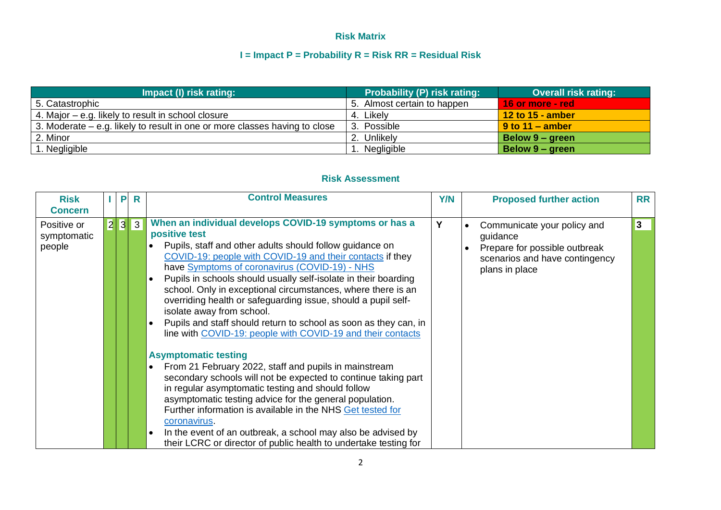## **Risk Matrix**

## **I = Impact P = Probability R = Risk RR = Residual Risk**

| Impact (I) risk rating:                                                    | <b>Probability (P) risk rating:</b> | <b>Overall risk rating:</b> |
|----------------------------------------------------------------------------|-------------------------------------|-----------------------------|
| 5. Catastrophic                                                            | 5. Almost certain to happen         | <u> 16 or more - red</u>    |
| 4. Major – e.g. likely to result in school closure                         | 4. Likely                           | 12 to 15 - amber            |
| 3. Moderate – e.g. likely to result in one or more classes having to close | 3. Possible                         | $\sqrt{9}$ to 11 – amber    |
| 2. Minor                                                                   | 2. Unlikely                         | Below 9 – green             |
| . Negligible                                                               | Negligible                          | Below 9 – green             |

### **Risk Assessment**

| <b>Risk</b><br><b>Concern</b>        |  | P | R | <b>Control Measures</b>                                                                                                                                                                                                                                                                                                                                                                                                                                                                                                                                                                                                                                                                                                                                                                                                                                                                                                                                                                                                                                                                                           | <b>Y/N</b> | <b>Proposed further action</b>                                                                                               | <b>RR</b> |
|--------------------------------------|--|---|---|-------------------------------------------------------------------------------------------------------------------------------------------------------------------------------------------------------------------------------------------------------------------------------------------------------------------------------------------------------------------------------------------------------------------------------------------------------------------------------------------------------------------------------------------------------------------------------------------------------------------------------------------------------------------------------------------------------------------------------------------------------------------------------------------------------------------------------------------------------------------------------------------------------------------------------------------------------------------------------------------------------------------------------------------------------------------------------------------------------------------|------------|------------------------------------------------------------------------------------------------------------------------------|-----------|
| Positive or<br>symptomatic<br>people |  |   |   | When an individual develops COVID-19 symptoms or has a<br>positive test<br>Pupils, staff and other adults should follow guidance on<br>COVID-19: people with COVID-19 and their contacts if they<br>have Symptoms of coronavirus (COVID-19) - NHS<br>Pupils in schools should usually self-isolate in their boarding<br>school. Only in exceptional circumstances, where there is an<br>overriding health or safeguarding issue, should a pupil self-<br>isolate away from school.<br>Pupils and staff should return to school as soon as they can, in<br>line with COVID-19: people with COVID-19 and their contacts<br><b>Asymptomatic testing</b><br>From 21 February 2022, staff and pupils in mainstream<br>secondary schools will not be expected to continue taking part<br>in regular asymptomatic testing and should follow<br>asymptomatic testing advice for the general population.<br>Further information is available in the NHS Get tested for<br>coronavirus.<br>In the event of an outbreak, a school may also be advised by<br>their LCRC or director of public health to undertake testing for | Υ          | Communicate your policy and<br>guidance<br>Prepare for possible outbreak<br>scenarios and have contingency<br>plans in place | 3         |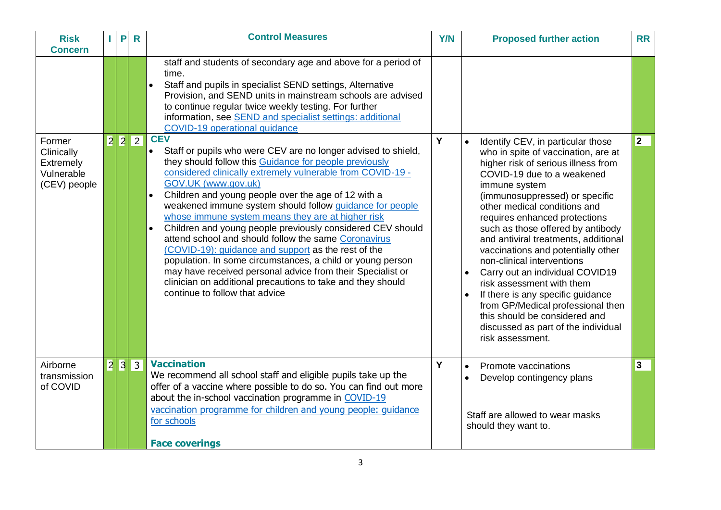| <b>Risk</b><br><b>Concern</b>                                   |   | P   | $\mathsf{R}$ | <b>Control Measures</b>                                                                                                                                                                                                                                                                                                                                                                                                                                                                                                                                                                                                                                                                                                                                                                                                                                                                                                                                                                                                                                                                                                                                                                                          | <b>Y/N</b> | <b>Proposed further action</b>                                                                                                                                                                                                                                                                                                                                                                                                                                                                                                                                                                                                                                                                  | <b>RR</b> |
|-----------------------------------------------------------------|---|-----|--------------|------------------------------------------------------------------------------------------------------------------------------------------------------------------------------------------------------------------------------------------------------------------------------------------------------------------------------------------------------------------------------------------------------------------------------------------------------------------------------------------------------------------------------------------------------------------------------------------------------------------------------------------------------------------------------------------------------------------------------------------------------------------------------------------------------------------------------------------------------------------------------------------------------------------------------------------------------------------------------------------------------------------------------------------------------------------------------------------------------------------------------------------------------------------------------------------------------------------|------------|-------------------------------------------------------------------------------------------------------------------------------------------------------------------------------------------------------------------------------------------------------------------------------------------------------------------------------------------------------------------------------------------------------------------------------------------------------------------------------------------------------------------------------------------------------------------------------------------------------------------------------------------------------------------------------------------------|-----------|
| Former<br>Clinically<br>Extremely<br>Vulnerable<br>(CEV) people | 2 | 2   | $ 2\rangle$  | staff and students of secondary age and above for a period of<br>time.<br>Staff and pupils in specialist SEND settings, Alternative<br>Provision, and SEND units in mainstream schools are advised<br>to continue regular twice weekly testing. For further<br>information, see SEND and specialist settings: additional<br>COVID-19 operational guidance<br><b>CEV</b><br>Staff or pupils who were CEV are no longer advised to shield,<br>$\bullet$<br>they should follow this Guidance for people previously<br>considered clinically extremely vulnerable from COVID-19 -<br>GOV.UK (www.gov.uk)<br>Children and young people over the age of 12 with a<br>$\bullet$<br>weakened immune system should follow quidance for people<br>whose immune system means they are at higher risk<br>Children and young people previously considered CEV should<br>$\bullet$<br>attend school and should follow the same Coronavirus<br>(COVID-19): guidance and support as the rest of the<br>population. In some circumstances, a child or young person<br>may have received personal advice from their Specialist or<br>clinician on additional precautions to take and they should<br>continue to follow that advice | Y          | Identify CEV, in particular those<br>$\bullet$<br>who in spite of vaccination, are at<br>higher risk of serious illness from<br>COVID-19 due to a weakened<br>immune system<br>(immunosuppressed) or specific<br>other medical conditions and<br>requires enhanced protections<br>such as those offered by antibody<br>and antiviral treatments, additional<br>vaccinations and potentially other<br>non-clinical interventions<br>Carry out an individual COVID19<br>$\bullet$<br>risk assessment with them<br>If there is any specific guidance<br>$\bullet$<br>from GP/Medical professional then<br>this should be considered and<br>discussed as part of the individual<br>risk assessment. | 2         |
| Airborne<br>transmission<br>of COVID                            |   | 2 3 | $ 3\rangle$  | <b>Vaccination</b><br>We recommend all school staff and eligible pupils take up the<br>offer of a vaccine where possible to do so. You can find out more<br>about the in-school vaccination programme in COVID-19<br>vaccination programme for children and young people: guidance<br>for schools<br><b>Face coverings</b>                                                                                                                                                                                                                                                                                                                                                                                                                                                                                                                                                                                                                                                                                                                                                                                                                                                                                       | Y          | Promote vaccinations<br>$\bullet$<br>Develop contingency plans<br>Staff are allowed to wear masks<br>should they want to.                                                                                                                                                                                                                                                                                                                                                                                                                                                                                                                                                                       | 3         |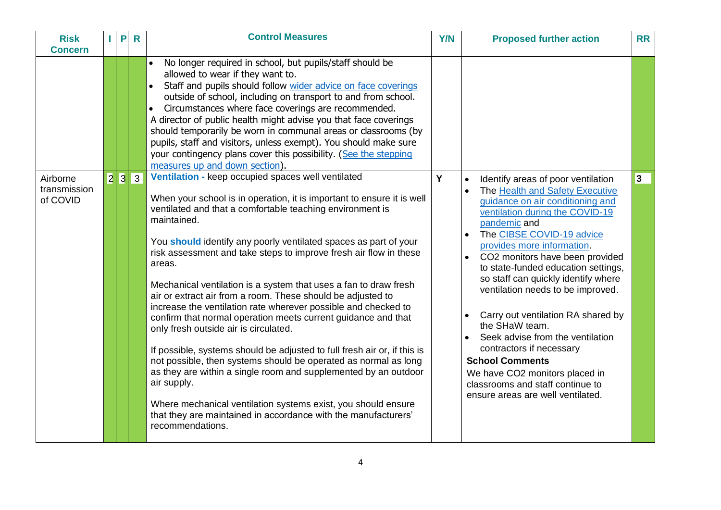| <b>Risk</b><br><b>Concern</b>        | $\mathbf{L}$   | P              | $\mathsf{R}$   | <b>Control Measures</b>                                                                                                                                                                                                                                                                                                                                                                                                                                                                                                                                                                                                                                                                                                                                                                                                                                                                                                                                                                                                                                            | <b>Y/N</b> | <b>Proposed further action</b>                                                                                                                                                                                                                                                                                                                                                                                                                                                                                                                                                                                                                                       | <b>RR</b> |
|--------------------------------------|----------------|----------------|----------------|--------------------------------------------------------------------------------------------------------------------------------------------------------------------------------------------------------------------------------------------------------------------------------------------------------------------------------------------------------------------------------------------------------------------------------------------------------------------------------------------------------------------------------------------------------------------------------------------------------------------------------------------------------------------------------------------------------------------------------------------------------------------------------------------------------------------------------------------------------------------------------------------------------------------------------------------------------------------------------------------------------------------------------------------------------------------|------------|----------------------------------------------------------------------------------------------------------------------------------------------------------------------------------------------------------------------------------------------------------------------------------------------------------------------------------------------------------------------------------------------------------------------------------------------------------------------------------------------------------------------------------------------------------------------------------------------------------------------------------------------------------------------|-----------|
|                                      |                |                |                | No longer required in school, but pupils/staff should be<br>$\bullet$<br>allowed to wear if they want to.<br>Staff and pupils should follow wider advice on face coverings<br>outside of school, including on transport to and from school.<br>Circumstances where face coverings are recommended.<br>$\bullet$<br>A director of public health might advise you that face coverings<br>should temporarily be worn in communal areas or classrooms (by<br>pupils, staff and visitors, unless exempt). You should make sure<br>your contingency plans cover this possibility. (See the stepping<br>measures up and down section).                                                                                                                                                                                                                                                                                                                                                                                                                                    |            |                                                                                                                                                                                                                                                                                                                                                                                                                                                                                                                                                                                                                                                                      |           |
| Airborne<br>transmission<br>of COVID | $\overline{2}$ | $\overline{3}$ | $\overline{3}$ | Ventilation - keep occupied spaces well ventilated<br>When your school is in operation, it is important to ensure it is well<br>ventilated and that a comfortable teaching environment is<br>maintained.<br>You should identify any poorly ventilated spaces as part of your<br>risk assessment and take steps to improve fresh air flow in these<br>areas.<br>Mechanical ventilation is a system that uses a fan to draw fresh<br>air or extract air from a room. These should be adjusted to<br>increase the ventilation rate wherever possible and checked to<br>confirm that normal operation meets current guidance and that<br>only fresh outside air is circulated.<br>If possible, systems should be adjusted to full fresh air or, if this is<br>not possible, then systems should be operated as normal as long<br>as they are within a single room and supplemented by an outdoor<br>air supply.<br>Where mechanical ventilation systems exist, you should ensure<br>that they are maintained in accordance with the manufacturers'<br>recommendations. | Y          | Identify areas of poor ventilation<br>$\bullet$<br>The Health and Safety Executive<br>guidance on air conditioning and<br>ventilation during the COVID-19<br>pandemic and<br>The CIBSE COVID-19 advice<br>provides more information.<br>CO2 monitors have been provided<br>$\bullet$<br>to state-funded education settings,<br>so staff can quickly identify where<br>ventilation needs to be improved.<br>Carry out ventilation RA shared by<br>the SHaW team.<br>Seek advise from the ventilation<br>contractors if necessary<br><b>School Comments</b><br>We have CO2 monitors placed in<br>classrooms and staff continue to<br>ensure areas are well ventilated. | 3         |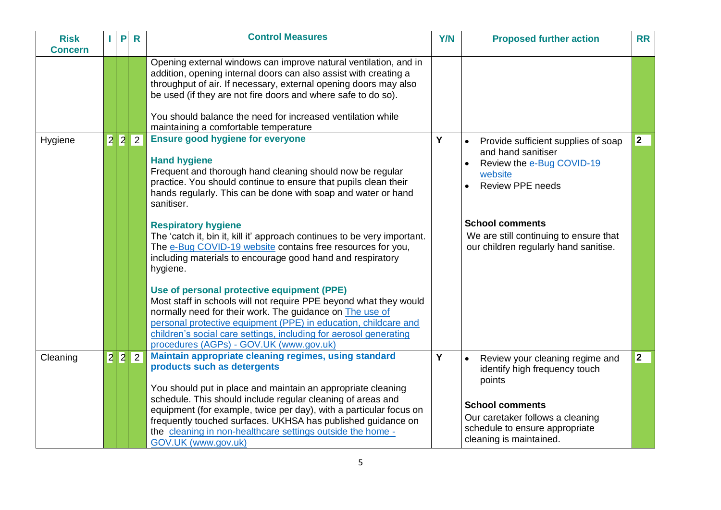| <b>Risk</b><br><b>Concern</b> | P | $\mathsf{R}$ | <b>Control Measures</b>                                                                                                                                                                                                                                                                                                                                                                                                                                                                                                          | <b>Y/N</b> | <b>Proposed further action</b>                                                                                                                                                                                                                         | <b>RR</b>   |
|-------------------------------|---|--------------|----------------------------------------------------------------------------------------------------------------------------------------------------------------------------------------------------------------------------------------------------------------------------------------------------------------------------------------------------------------------------------------------------------------------------------------------------------------------------------------------------------------------------------|------------|--------------------------------------------------------------------------------------------------------------------------------------------------------------------------------------------------------------------------------------------------------|-------------|
|                               |   |              | Opening external windows can improve natural ventilation, and in<br>addition, opening internal doors can also assist with creating a<br>throughput of air. If necessary, external opening doors may also<br>be used (if they are not fire doors and where safe to do so).<br>You should balance the need for increased ventilation while<br>maintaining a comfortable temperature                                                                                                                                                |            |                                                                                                                                                                                                                                                        |             |
| Hygiene                       |   | 2 2 2        | <b>Ensure good hygiene for everyone</b><br><b>Hand hygiene</b><br>Frequent and thorough hand cleaning should now be regular<br>practice. You should continue to ensure that pupils clean their<br>hands regularly. This can be done with soap and water or hand<br>sanitiser.<br><b>Respiratory hygiene</b><br>The 'catch it, bin it, kill it' approach continues to be very important.<br>The e-Bug COVID-19 website contains free resources for you,<br>including materials to encourage good hand and respiratory<br>hygiene. | Y          | Provide sufficient supplies of soap<br>$\bullet$<br>and hand sanitiser<br>Review the e-Bug COVID-19<br>website<br><b>Review PPE needs</b><br><b>School comments</b><br>We are still continuing to ensure that<br>our children regularly hand sanitise. | $ 2\rangle$ |
|                               |   |              | Use of personal protective equipment (PPE)<br>Most staff in schools will not require PPE beyond what they would<br>normally need for their work. The guidance on The use of<br>personal protective equipment (PPE) in education, childcare and<br>children's social care settings, including for aerosol generating<br>procedures (AGPs) - GOV.UK (www.gov.uk)                                                                                                                                                                   |            |                                                                                                                                                                                                                                                        |             |
| Cleaning                      |   | 2 2 2        | Maintain appropriate cleaning regimes, using standard<br>products such as detergents<br>You should put in place and maintain an appropriate cleaning<br>schedule. This should include regular cleaning of areas and<br>equipment (for example, twice per day), with a particular focus on<br>frequently touched surfaces. UKHSA has published guidance on<br>the cleaning in non-healthcare settings outside the home -<br>GOV.UK (www.gov.uk)                                                                                   | Y          | $\bullet$<br>Review your cleaning regime and<br>identify high frequency touch<br>points<br><b>School comments</b><br>Our caretaker follows a cleaning<br>schedule to ensure appropriate<br>cleaning is maintained.                                     | $ 2\rangle$ |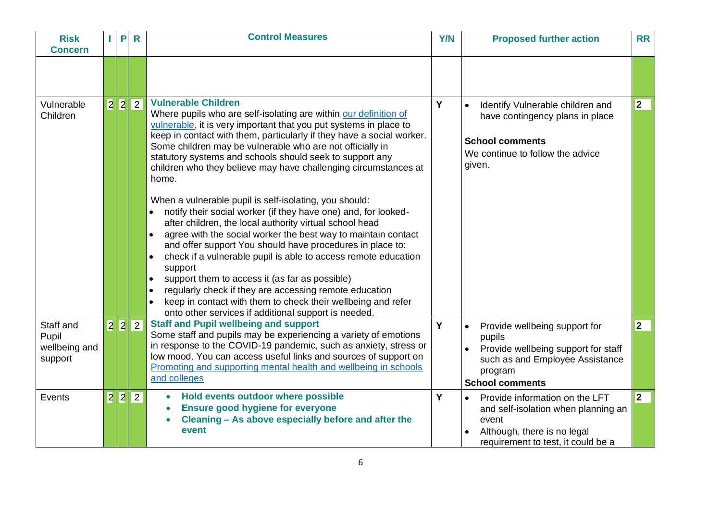| <b>Risk</b><br><b>Concern</b>                  | P   | $\mathsf{R}$   | <b>Control Measures</b>                                                                                                                                                                                                                                                                                                                                                                                                                                                                                                                                                                                                                                                                                                                                                                                                                                                                                                                                                                                                                                                                              | <b>Y/N</b> | <b>Proposed further action</b>                                                                                                                                   | <b>RR</b>      |
|------------------------------------------------|-----|----------------|------------------------------------------------------------------------------------------------------------------------------------------------------------------------------------------------------------------------------------------------------------------------------------------------------------------------------------------------------------------------------------------------------------------------------------------------------------------------------------------------------------------------------------------------------------------------------------------------------------------------------------------------------------------------------------------------------------------------------------------------------------------------------------------------------------------------------------------------------------------------------------------------------------------------------------------------------------------------------------------------------------------------------------------------------------------------------------------------------|------------|------------------------------------------------------------------------------------------------------------------------------------------------------------------|----------------|
|                                                |     |                |                                                                                                                                                                                                                                                                                                                                                                                                                                                                                                                                                                                                                                                                                                                                                                                                                                                                                                                                                                                                                                                                                                      |            |                                                                                                                                                                  |                |
| Vulnerable<br>Children                         |     | 2 2 2          | <b>Vulnerable Children</b><br>Where pupils who are self-isolating are within our definition of<br>vulnerable, it is very important that you put systems in place to<br>keep in contact with them, particularly if they have a social worker.<br>Some children may be vulnerable who are not officially in<br>statutory systems and schools should seek to support any<br>children who they believe may have challenging circumstances at<br>home.<br>When a vulnerable pupil is self-isolating, you should:<br>notify their social worker (if they have one) and, for looked-<br>$\bullet$<br>after children, the local authority virtual school head<br>agree with the social worker the best way to maintain contact<br>and offer support You should have procedures in place to:<br>check if a vulnerable pupil is able to access remote education<br>support<br>support them to access it (as far as possible)<br>regularly check if they are accessing remote education<br>keep in contact with them to check their wellbeing and refer<br>onto other services if additional support is needed. | Y          | Identify Vulnerable children and<br>$\bullet$<br>have contingency plans in place<br><b>School comments</b><br>We continue to follow the advice<br>given.         | $\overline{2}$ |
| Staff and<br>Pupil<br>wellbeing and<br>support |     | 2 2 2          | <b>Staff and Pupil wellbeing and support</b><br>Some staff and pupils may be experiencing a variety of emotions<br>in response to the COVID-19 pandemic, such as anxiety, stress or<br>low mood. You can access useful links and sources of support on<br>Promoting and supporting mental health and wellbeing in schools<br>and colleges                                                                                                                                                                                                                                                                                                                                                                                                                                                                                                                                                                                                                                                                                                                                                            | Y          | Provide wellbeing support for<br>pupils<br>Provide wellbeing support for staff<br>such as and Employee Assistance<br>program<br><b>School comments</b>           | $ 2\rangle$    |
| Events                                         | 2 2 | $\overline{2}$ | Hold events outdoor where possible<br>$\bullet$<br><b>Ensure good hygiene for everyone</b><br>Cleaning - As above especially before and after the<br>event                                                                                                                                                                                                                                                                                                                                                                                                                                                                                                                                                                                                                                                                                                                                                                                                                                                                                                                                           | Y          | Provide information on the LFT<br>$\bullet$<br>and self-isolation when planning an<br>event<br>Although, there is no legal<br>requirement to test, it could be a | 2              |